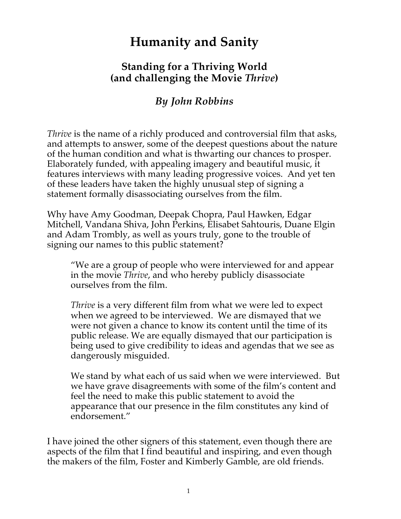# **Humanity and Sanity**

## **Standing for a Thriving World (and challenging the Movie** *Thrive***)**

## *By John Robbins*

*Thrive* is the name of a richly produced and controversial film that asks, and attempts to answer, some of the deepest questions about the nature of the human condition and what is thwarting our chances to prosper. Elaborately funded, with appealing imagery and beautiful music, it features interviews with many leading progressive voices. And yet ten of these leaders have taken the highly unusual step of signing a statement formally disassociating ourselves from the film.

Why have Amy Goodman, Deepak Chopra, Paul Hawken, Edgar Mitchell, Vandana Shiva, John Perkins, Elisabet Sahtouris, Duane Elgin and Adam Trombly, as well as yours truly, gone to the trouble of signing our names to this public statement?

"We are a group of people who were interviewed for and appear in the movie *Thrive*, and who hereby publicly disassociate ourselves from the film.

*Thrive* is a very different film from what we were led to expect when we agreed to be interviewed. We are dismayed that we were not given a chance to know its content until the time of its public release. We are equally dismayed that our participation is being used to give credibility to ideas and agendas that we see as dangerously misguided.

We stand by what each of us said when we were interviewed. But we have grave disagreements with some of the film's content and feel the need to make this public statement to avoid the appearance that our presence in the film constitutes any kind of endorsement."

I have joined the other signers of this statement, even though there are aspects of the film that I find beautiful and inspiring, and even though the makers of the film, Foster and Kimberly Gamble, are old friends.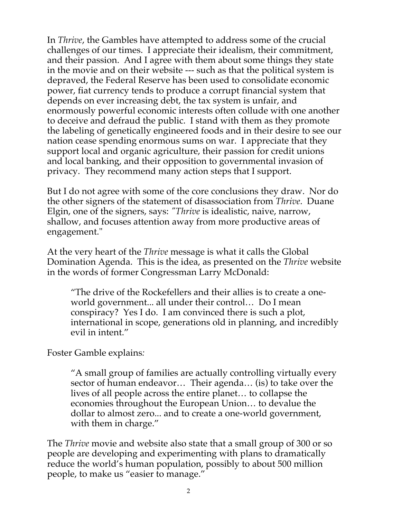In *Thrive*, the Gambles have attempted to address some of the crucial challenges of our times. I appreciate their idealism, their commitment, and their passion. And I agree with them about some things they state in the movie and on their website --- such as that the political system is depraved, the Federal Reserve has been used to consolidate economic power, fiat currency tends to produce a corrupt financial system that depends on ever increasing debt, the tax system is unfair, and enormously powerful economic interests often collude with one another to deceive and defraud the public. I stand with them as they promote the labeling of genetically engineered foods and in their desire to see our nation cease spending enormous sums on war. I appreciate that they support local and organic agriculture, their passion for credit unions and local banking, and their opposition to governmental invasion of privacy. They recommend many action steps that I support.

But I do not agree with some of the core conclusions they draw. Nor do the other signers of the statement of disassociation from *Thrive*. Duane Elgin, one of the signers, says: *"Thrive* is idealistic, naive, narrow, shallow, and focuses attention away from more productive areas of engagement."

At the very heart of the *Thrive* message is what it calls the Global Domination Agenda. This is the idea, as presented on the *Thrive* website in the words of former Congressman Larry McDonald:

"The drive of the Rockefellers and their allies is to create a oneworld government... all under their control… Do I mean conspiracy? Yes I do. I am convinced there is such a plot, international in scope, generations old in planning, and incredibly evil in intent."

Foster Gamble explains*:*

"A small group of families are actually controlling virtually every sector of human endeavor… Their agenda… (is) to take over the lives of all people across the entire planet… to collapse the economies throughout the European Union… to devalue the dollar to almost zero... and to create a one-world government, with them in charge."

The *Thrive* movie and website also state that a small group of 300 or so people are developing and experimenting with plans to dramatically reduce the world's human population, possibly to about 500 million people, to make us "easier to manage."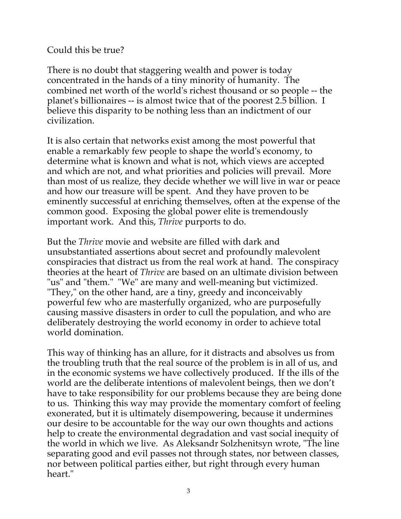### Could this be true?

There is no doubt that staggering wealth and power is today concentrated in the hands of a tiny minority of humanity. The combined net worth of the world's richest thousand or so people -- the planet's billionaires -- is almost twice that of the poorest 2.5 billion. I believe this disparity to be nothing less than an indictment of our civilization.

It is also certain that networks exist among the most powerful that enable a remarkably few people to shape the world's economy, to determine what is known and what is not, which views are accepted and which are not, and what priorities and policies will prevail. More than most of us realize, they decide whether we will live in war or peace and how our treasure will be spent. And they have proven to be eminently successful at enriching themselves, often at the expense of the common good. Exposing the global power elite is tremendously important work. And this, *Thrive* purports to do.

But the *Thrive* movie and website are filled with dark and unsubstantiated assertions about secret and profoundly malevolent conspiracies that distract us from the real work at hand. The conspiracy theories at the heart of *Thrive* are based on an ultimate division between "us" and "them." "We" are many and well-meaning but victimized. "They," on the other hand, are a tiny, greedy and inconceivably powerful few who are masterfully organized, who are purposefully causing massive disasters in order to cull the population, and who are deliberately destroying the world economy in order to achieve total world domination.

This way of thinking has an allure, for it distracts and absolves us from the troubling truth that the real source of the problem is in all of us, and in the economic systems we have collectively produced. If the ills of the world are the deliberate intentions of malevolent beings, then we don't have to take responsibility for our problems because they are being done to us. Thinking this way may provide the momentary comfort of feeling exonerated, but it is ultimately disempowering, because it undermines our desire to be accountable for the way our own thoughts and actions help to create the environmental degradation and vast social inequity of the world in which we live. As Aleksandr Solzhenitsyn wrote, "The line separating good and evil passes not through states, nor between classes, nor between political parties either, but right through every human heart."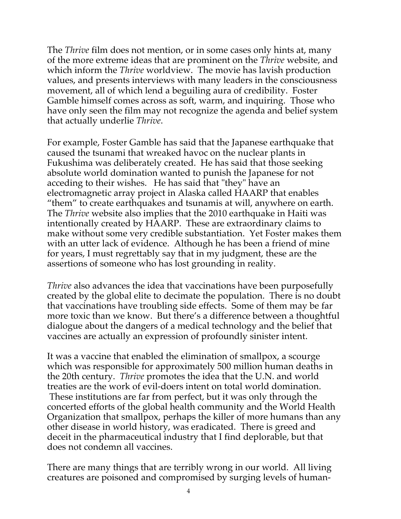The *Thrive* film does not mention, or in some cases only hints at, many of the more extreme ideas that are prominent on the *Thrive* website, and which inform the *Thrive* worldview. The movie has lavish production values, and presents interviews with many leaders in the consciousness movement, all of which lend a beguiling aura of credibility. Foster Gamble himself comes across as soft, warm, and inquiring. Those who have only seen the film may not recognize the agenda and belief system that actually underlie *Thrive*.

For example, Foster Gamble has said that the Japanese earthquake that caused the tsunami that wreaked havoc on the nuclear plants in Fukushima was deliberately created. He has said that those seeking absolute world domination wanted to punish the Japanese for not acceding to their wishes. He has said that "they" have an electromagnetic array project in Alaska called HAARP that enables "them" to create earthquakes and tsunamis at will, anywhere on earth. The *Thrive* website also implies that the 2010 earthquake in Haiti was intentionally created by HAARP. These are extraordinary claims to make without some very credible substantiation. Yet Foster makes them with an utter lack of evidence. Although he has been a friend of mine for years, I must regrettably say that in my judgment, these are the assertions of someone who has lost grounding in reality.

*Thrive* also advances the idea that vaccinations have been purposefully created by the global elite to decimate the population. There is no doubt that vaccinations have troubling side effects. Some of them may be far more toxic than we know. But there's a difference between a thoughtful dialogue about the dangers of a medical technology and the belief that vaccines are actually an expression of profoundly sinister intent.

It was a vaccine that enabled the elimination of smallpox, a scourge which was responsible for approximately 500 million human deaths in the 20th century. *Thrive* promotes the idea that the U.N. and world treaties are the work of evil-doers intent on total world domination. These institutions are far from perfect, but it was only through the concerted efforts of the global health community and the World Health Organization that smallpox, perhaps the killer of more humans than any other disease in world history, was eradicated. There is greed and deceit in the pharmaceutical industry that I find deplorable, but that does not condemn all vaccines.

There are many things that are terribly wrong in our world. All living creatures are poisoned and compromised by surging levels of human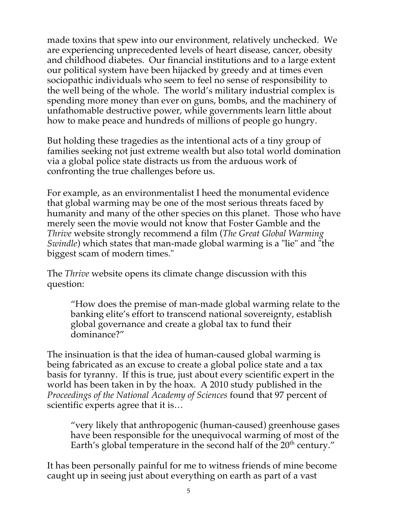made toxins that spew into our environment, relatively unchecked. We are experiencing unprecedented levels of heart disease, cancer, obesity and childhood diabetes. Our financial institutions and to a large extent our political system have been hijacked by greedy and at times even sociopathic individuals who seem to feel no sense of responsibility to the well being of the whole. The world's military industrial complex is spending more money than ever on guns, bombs, and the machinery of unfathomable destructive power, while governments learn little about how to make peace and hundreds of millions of people go hungry.

But holding these tragedies as the intentional acts of a tiny group of families seeking not just extreme wealth but also total world domination via a global police state distracts us from the arduous work of confronting the true challenges before us.

For example, as an environmentalist I heed the monumental evidence that global warming may be one of the most serious threats faced by humanity and many of the other species on this planet. Those who have merely seen the movie would not know that Foster Gamble and the *Thrive* website strongly recommend a film (*The Great Global Warming Swindle*) which states that man-made global warming is a "lie" and "the biggest scam of modern times."

The *Thrive* website opens its climate change discussion with this question:

"How does the premise of man-made global warming relate to the banking elite's effort to transcend national sovereignty, establish global governance and create a global tax to fund their dominance?"

The insinuation is that the idea of human-caused global warming is being fabricated as an excuse to create a global police state and a tax basis for tyranny. If this is true, just about every scientific expert in the world has been taken in by the hoax. A 2010 study published in the *Proceedings of the National Academy of Sciences* found that 97 percent of scientific experts agree that it is…

"very likely that anthropogenic (human-caused) greenhouse gases have been responsible for the unequivocal warming of most of the Earth's global temperature in the second half of the  $20<sup>th</sup>$  century."

It has been personally painful for me to witness friends of mine become caught up in seeing just about everything on earth as part of a vast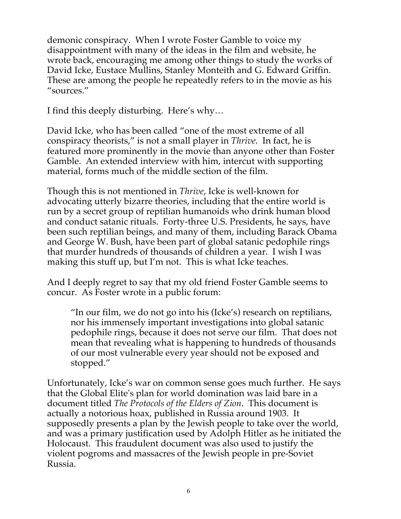demonic conspiracy. When I wrote Foster Gamble to voice my disappointment with many of the ideas in the film and website, he wrote back, encouraging me among other things to study the works of David Icke, Eustace Mullins, Stanley Monteith and G. Edward Griffin. These are among the people he repeatedly refers to in the movie as his "sources."

I find this deeply disturbing. Here's why…

David Icke, who has been called "one of the most extreme of all conspiracy theorists," is not a small player in *Thrive*. In fact, he is featured more prominently in the movie than anyone other than Foster Gamble. An extended interview with him, intercut with supporting material, forms much of the middle section of the film.

Though this is not mentioned in *Thrive*, Icke is well-known for advocating utterly bizarre theories, including that the entire world is run by a secret group of reptilian humanoids who drink human blood and conduct satanic rituals. Forty-three U.S. Presidents, he says, have been such reptilian beings, and many of them, including Barack Obama and George W. Bush, have been part of global satanic pedophile rings that murder hundreds of thousands of children a year. I wish I was making this stuff up, but I'm not. This is what Icke teaches.

And I deeply regret to say that my old friend Foster Gamble seems to concur. As Foster wrote in a public forum:

"In our film, we do not go into his (Icke's) research on reptilians, nor his immensely important investigations into global satanic pedophile rings, because it does not serve our film. That does not mean that revealing what is happening to hundreds of thousands of our most vulnerable every year should not be exposed and stopped."

Unfortunately, Icke's war on common sense goes much further. He says that the Global Elite's plan for world domination was laid bare in a document titled *The Protocols of the Elders of Zion*. This document is actually a notorious hoax, published in Russia around 1903. It supposedly presents a plan by the Jewish people to take over the world, and was a primary justification used by Adolph Hitler as he initiated the Holocaust. This fraudulent document was also used to justify the violent pogroms and massacres of the Jewish people in pre-Soviet Russia.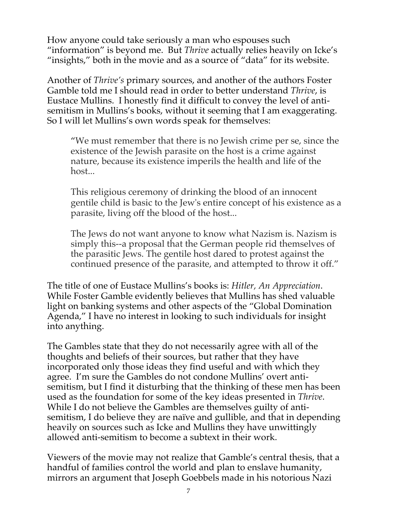How anyone could take seriously a man who espouses such "information" is beyond me. But *Thrive* actually relies heavily on Icke's "insights," both in the movie and as a source of "data" for its website.

Another of *Thrive's* primary sources, and another of the authors Foster Gamble told me I should read in order to better understand *Thrive*, is Eustace Mullins. I honestly find it difficult to convey the level of antisemitism in Mullins's books, without it seeming that I am exaggerating. So I will let Mullins's own words speak for themselves:

"We must remember that there is no Jewish crime per se, since the existence of the Jewish parasite on the host is a crime against nature, because its existence imperils the health and life of the host...

This religious ceremony of drinking the blood of an innocent gentile child is basic to the Jew's entire concept of his existence as a parasite, living off the blood of the host...

The Jews do not want anyone to know what Nazism is. Nazism is simply this--a proposal that the German people rid themselves of the parasitic Jews. The gentile host dared to protest against the continued presence of the parasite, and attempted to throw it off."

The title of one of Eustace Mullins's books is: *Hitler, An Appreciation*. While Foster Gamble evidently believes that Mullins has shed valuable light on banking systems and other aspects of the "Global Domination Agenda," I have no interest in looking to such individuals for insight into anything.

The Gambles state that they do not necessarily agree with all of the thoughts and beliefs of their sources, but rather that they have incorporated only those ideas they find useful and with which they agree. I'm sure the Gambles do not condone Mullins' overt antisemitism, but I find it disturbing that the thinking of these men has been used as the foundation for some of the key ideas presented in *Thrive*. While I do not believe the Gambles are themselves guilty of antisemitism, I do believe they are naïve and gullible, and that in depending heavily on sources such as Icke and Mullins they have unwittingly allowed anti-semitism to become a subtext in their work.

Viewers of the movie may not realize that Gamble's central thesis, that a handful of families control the world and plan to enslave humanity, mirrors an argument that Joseph Goebbels made in his notorious Nazi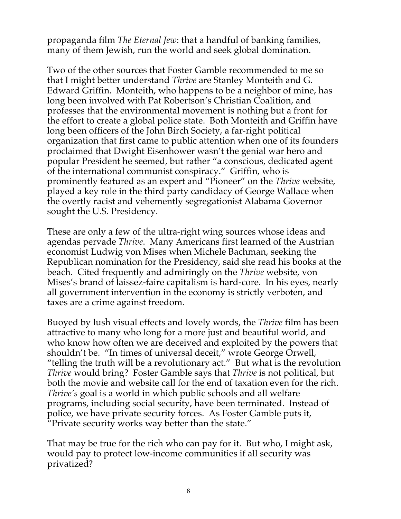propaganda film *The Eternal Jew*: that a handful of banking families, many of them Jewish, run the world and seek global domination.

Two of the other sources that Foster Gamble recommended to me so that I might better understand *Thrive* are Stanley Monteith and G. Edward Griffin. Monteith, who happens to be a neighbor of mine, has long been involved with Pat Robertson's Christian Coalition, and professes that the environmental movement is nothing but a front for the effort to create a global police state. Both Monteith and Griffin have long been officers of the John Birch Society, a far-right political organization that first came to public attention when one of its founders proclaimed that Dwight Eisenhower wasn't the genial war hero and popular President he seemed, but rather "a conscious, dedicated agent of the international communist conspiracy." Griffin, who is prominently featured as an expert and "Pioneer" on the *Thrive* website, played a key role in the third party candidacy of George Wallace when the overtly racist and vehemently segregationist Alabama Governor sought the U.S. Presidency.

These are only a few of the ultra-right wing sources whose ideas and agendas pervade *Thrive*. Many Americans first learned of the Austrian economist Ludwig von Mises when Michele Bachman, seeking the Republican nomination for the Presidency, said she read his books at the beach. Cited frequently and admiringly on the *Thrive* website, von Mises's brand of laissez-faire capitalism is hard-core. In his eyes, nearly all government intervention in the economy is strictly verboten, and taxes are a crime against freedom.

Buoyed by lush visual effects and lovely words, the *Thrive* film has been attractive to many who long for a more just and beautiful world, and who know how often we are deceived and exploited by the powers that shouldn't be. "In times of universal deceit," wrote George Orwell, "telling the truth will be a revolutionary act." But what is the revolution *Thrive* would bring? Foster Gamble says that *Thrive* is not political, but both the movie and website call for the end of taxation even for the rich. *Thrive's* goal is a world in which public schools and all welfare programs, including social security, have been terminated. Instead of police, we have private security forces. As Foster Gamble puts it, "Private security works way better than the state."

That may be true for the rich who can pay for it. But who, I might ask, would pay to protect low-income communities if all security was privatized?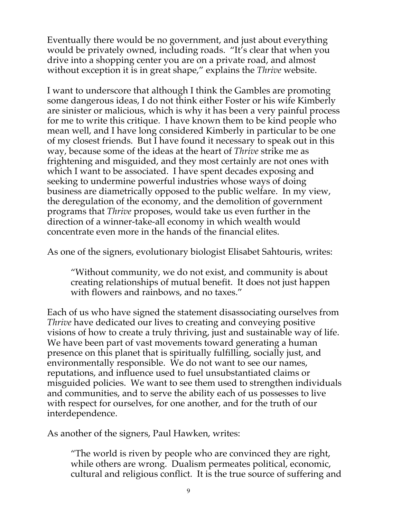Eventually there would be no government, and just about everything would be privately owned, including roads. "It's clear that when you drive into a shopping center you are on a private road, and almost without exception it is in great shape," explains the *Thrive* website.

I want to underscore that although I think the Gambles are promoting some dangerous ideas, I do not think either Foster or his wife Kimberly are sinister or malicious, which is why it has been a very painful process for me to write this critique. I have known them to be kind people who mean well, and I have long considered Kimberly in particular to be one of my closest friends. But I have found it necessary to speak out in this way, because some of the ideas at the heart of *Thrive* strike me as frightening and misguided, and they most certainly are not ones with which I want to be associated. I have spent decades exposing and seeking to undermine powerful industries whose ways of doing business are diametrically opposed to the public welfare. In my view, the deregulation of the economy, and the demolition of government programs that *Thrive* proposes, would take us even further in the direction of a winner-take-all economy in which wealth would concentrate even more in the hands of the financial elites.

As one of the signers, evolutionary biologist Elisabet Sahtouris, writes:

"Without community, we do not exist, and community is about creating relationships of mutual benefit. It does not just happen with flowers and rainbows, and no taxes."

Each of us who have signed the statement disassociating ourselves from *Thrive* have dedicated our lives to creating and conveying positive visions of how to create a truly thriving, just and sustainable way of life. We have been part of vast movements toward generating a human presence on this planet that is spiritually fulfilling, socially just, and environmentally responsible. We do not want to see our names, reputations, and influence used to fuel unsubstantiated claims or misguided policies. We want to see them used to strengthen individuals and communities, and to serve the ability each of us possesses to live with respect for ourselves, for one another, and for the truth of our interdependence.

As another of the signers, Paul Hawken, writes:

"The world is riven by people who are convinced they are right, while others are wrong. Dualism permeates political, economic, cultural and religious conflict. It is the true source of suffering and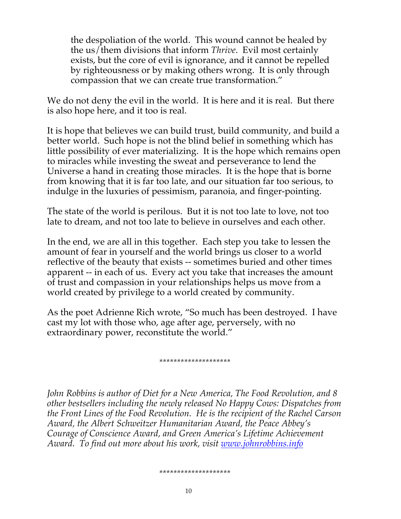the despoliation of the world. This wound cannot be healed by the us/them divisions that inform *Thrive*. Evil most certainly exists, but the core of evil is ignorance, and it cannot be repelled by righteousness or by making others wrong. It is only through compassion that we can create true transformation."

We do not deny the evil in the world. It is here and it is real. But there is also hope here, and it too is real.

It is hope that believes we can build trust, build community, and build a better world. Such hope is not the blind belief in something which has little possibility of ever materializing. It is the hope which remains open to miracles while investing the sweat and perseverance to lend the Universe a hand in creating those miracles. It is the hope that is borne from knowing that it is far too late, and our situation far too serious, to indulge in the luxuries of pessimism, paranoia, and finger-pointing.

The state of the world is perilous. But it is not too late to love, not too late to dream, and not too late to believe in ourselves and each other.

In the end, we are all in this together. Each step you take to lessen the amount of fear in yourself and the world brings us closer to a world reflective of the beauty that exists -- sometimes buried and other times apparent -- in each of us. Every act you take that increases the amount of trust and compassion in your relationships helps us move from a world created by privilege to a world created by community.

As the poet Adrienne Rich wrote, "So much has been destroyed. I have cast my lot with those who, age after age, perversely, with no extraordinary power, reconstitute the world."

#### *\*\*\*\*\*\*\*\*\*\*\*\*\*\*\*\*\*\*\*\**

*John Robbins is author of Diet for a New America, The Food Revolution, and 8 other bestsellers including the newly released No Happy Cows: Dispatches from the Front Lines of the Food Revolution. He is the recipient of the Rachel Carson Award, the Albert Schweitzer Humanitarian Award, the Peace Abbey's Courage of Conscience Award, and Green America's Lifetime Achievement Award. To find out more about his work, visit www.johnrobbins.info*

#### *\*\*\*\*\*\*\*\*\*\*\*\*\*\*\*\*\*\*\*\**